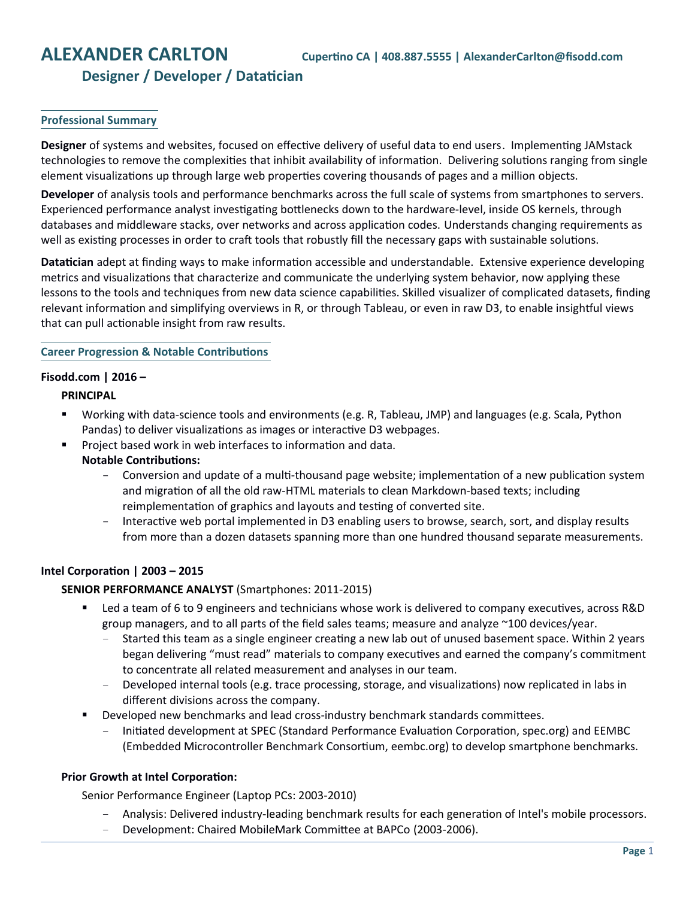# **Designer / Developer / Datatician**

# **Professional Summary**

**Designer** of systems and websites, focused on effective delivery of useful data to end users. Implementing JAMstack technologies to remove the complexities that inhibit availability of information. Delivering solutions ranging from single element visualizations up through large web properties covering thousands of pages and a million objects.

**Developer** of analysis tools and performance benchmarks across the full scale of systems from smartphones to servers. Experienced performance analyst investigating bottlenecks down to the hardware-level, inside OS kernels, through databases and middleware stacks, over networks and across application codes. Understands changing requirements as well as existing processes in order to craft tools that robustly fill the necessary gaps with sustainable solutions.

**Datatician** adept at finding ways to make information accessible and understandable. Extensive experience developing metrics and visualizations that characterize and communicate the underlying system behavior, now applying these lessons to the tools and techniques from new data science capabilities. Skilled visualizer of complicated datasets, finding relevant information and simplifying overviews in R, or through Tableau, or even in raw D3, to enable insightful views that can pull actionable insight from raw results.

#### **Career Progression & Notable Contributions**

#### **Fisodd.com | 2016 –**

# **PRINCIPAL**

- Working with data-science tools and environments (e.g. R, Tableau, JMP) and languages (e.g. Scala, Python Pandas) to deliver visualizations as images or interactive D3 webpages.
	- Project based work in web interfaces to information and data.
	- **Notable Contributions:**
		- Conversion and update of a multi-thousand page website; implementation of a new publication system and migration of all the old raw-HTML materials to clean Markdown-based texts; including reimplementation of graphics and layouts and testing of converted site.
		- Interactive web portal implemented in D3 enabling users to browse, search, sort, and display results from more than a dozen datasets spanning more than one hundred thousand separate measurements.

# **Intel Corporation | 2003 – 2015**

# **SENIOR PERFORMANCE ANALYST** (Smartphones: 2011-2015)

- Led a team of 6 to 9 engineers and technicians whose work is delivered to company executives, across R&D group managers, and to all parts of the field sales teams; measure and analyze ~100 devices/year.
	- Started this team as a single engineer creating a new lab out of unused basement space. Within 2 years began delivering "must read" materials to company executives and earned the company's commitment to concentrate all related measurement and analyses in our team.
	- Developed internal tools (e.g. trace processing, storage, and visualizations) now replicated in labs in different divisions across the company.
- **Developed new benchmarks and lead cross-industry benchmark standards committees.** 
	- Initiated development at SPEC (Standard Performance Evaluation Corporation, spec.org) and EEMBC (Embedded Microcontroller Benchmark Consortium, eembc.org) to develop smartphone benchmarks.

# **Prior Growth at Intel Corporation:**

Senior Performance Engineer (Laptop PCs: 2003-2010)

- Analysis: Delivered industry-leading benchmark results for each generation of Intel's mobile processors.
- Development: Chaired MobileMark Committee at BAPCo (2003-2006).